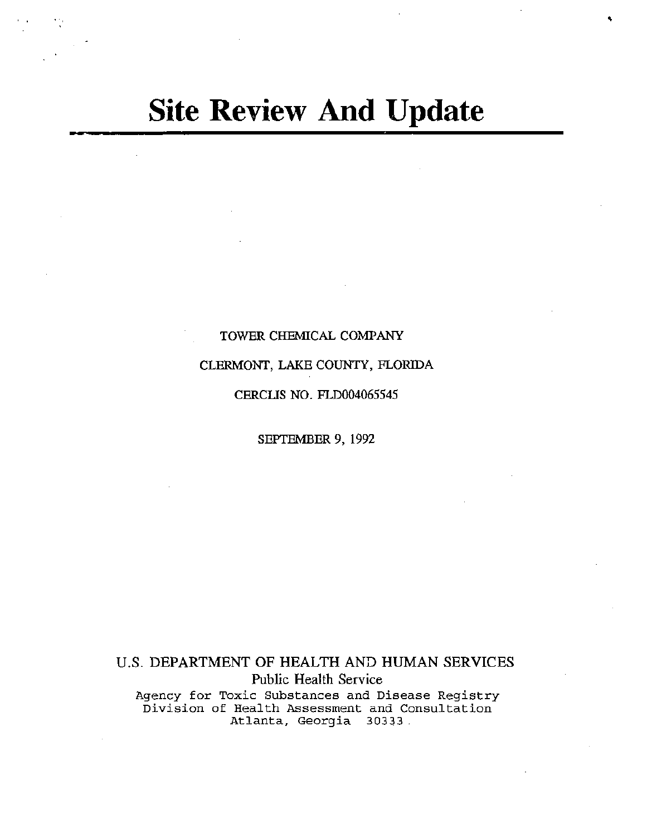# **Site Review And Update**

'

# TOWER CHEMICAL COMPANY

# CLERMONT, LAKE COUNTY, FLORIDA

## CERCLIS NO. FLD004065545

#### SEPTEMBER 9, 1992

U.S. DEPARTMENT OF HEALTH AND HUMAN SERVICES Public Health Service Agency for Toxic Substances and Disease Registry Division of Health Assessment and Consultation Atlanta, Georgia 30333 .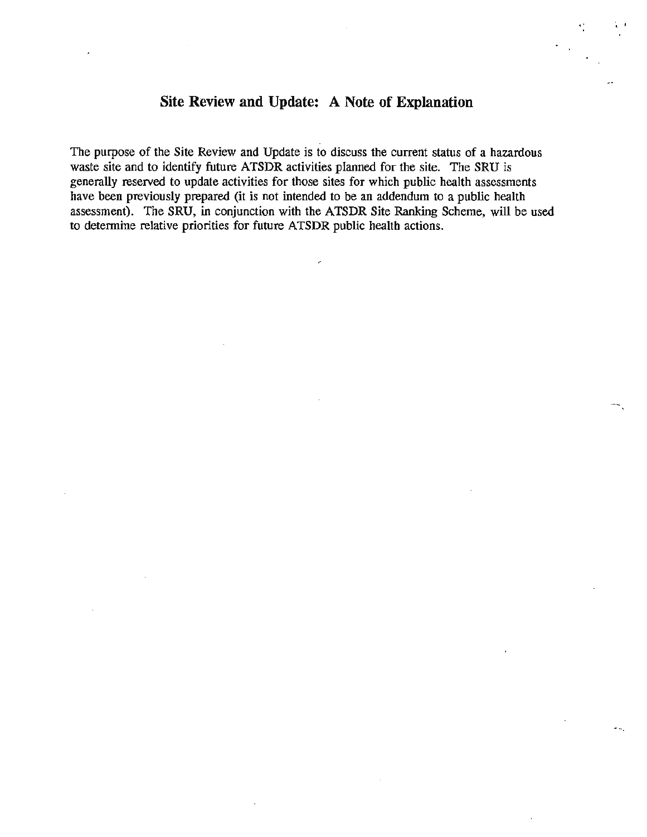# **Site Review and Update: A Note of Explanation**

.. '

The purpose of the Site Review and Update is to discuss the current status of a hazardous waste site and to identify future ATSDR activities planned for the site. The SRU is generally reserved to update activities for those sites for which public health assessments have been previously prepared (it is not intended to be an addendum to a public health assessment). The SRU, in conjunction *with* the ATSDR Site Ranking Scheme, will be used to determine relative priorities for future ATSDR public health actions.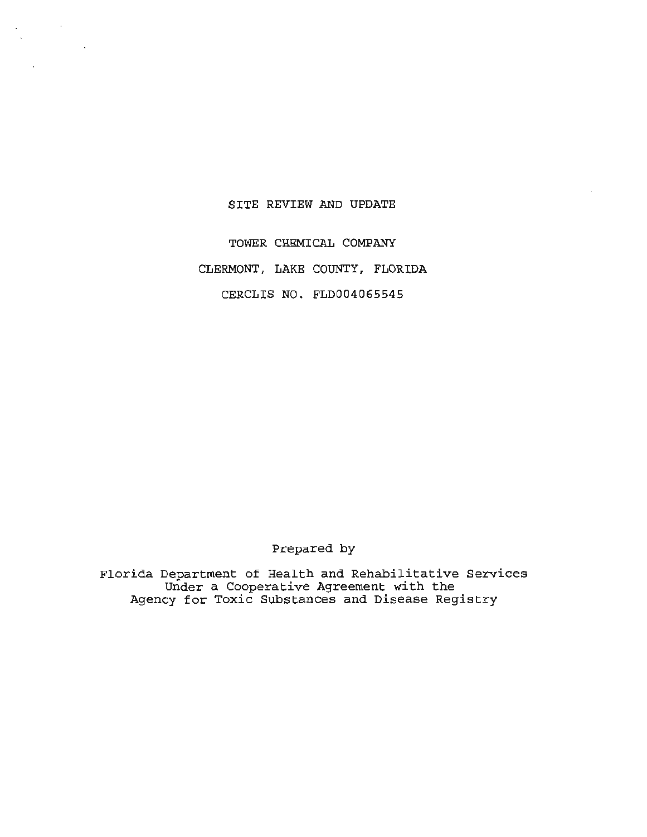### SITE REVIEW AND UPDATE

 $\frac{1}{2}$ 

TOWER CHEMICAL COMPANY CLERMONT, LAKE COUNTY, FLORIDA CERCLIS NO. FLD004065545

Prepared by

Florida Department of Health and Rehabilitative Services Under a Cooperative Agreement with the Agency for Toxic Substances and Disease Registry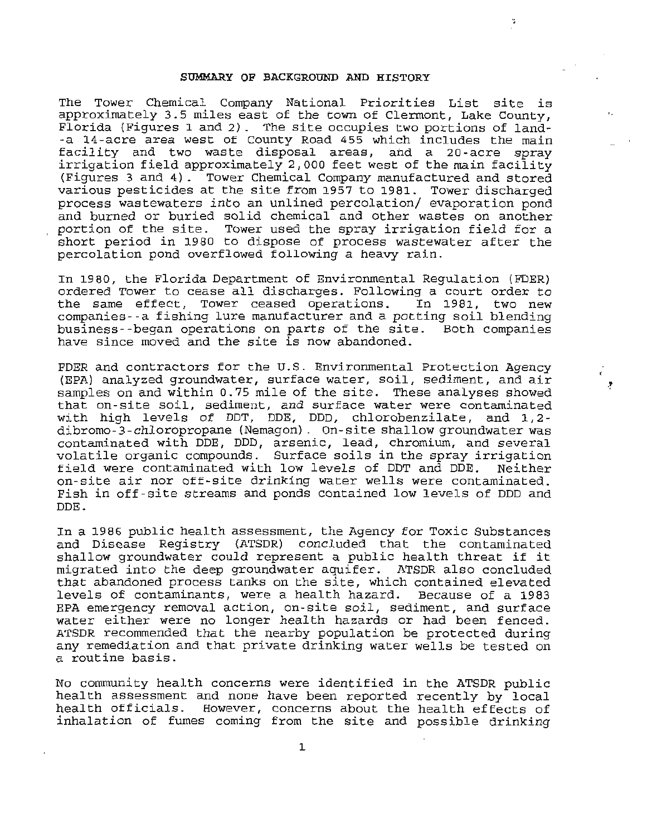#### SUMMARY OF BACKGROUND AND HISTORY

The Tower Chemical Company National Priorities List site is approximately 3.5 miles east of the town of Clermont, Lake County, Florida {Figures 1 and 2). The site occupies two portions of land- -a 14-acre area west of County Road 455 which includes the main facility and two waste disposal areas, and a 20 -acre spray irrigation field approximately 2,000 feet west of the main facility (Figures 3 and 4) . Tower Chemical Company manufactured and stored various pesticides at the site from 1957 to 1981. Tower discharged process wastewaters into an unlined percolation/ evaporation pond and burned or buried solid chemical and other wastes on another<br>portion of the site. Tower used the spray irrigation field for a Tower used the spray irrigation field for a short period in 1980 to dispose of process wastewater after the percolation pond overflowed following a heavy rain .

In 1980, the Florida Department of Environmental Regulation (FDER) ordered Tower to cease all discharges. Following a court order to<br>the same effect, Tower ceased operations. In 1981, two new the same effect, Tower ceased operations. companies--a fishing lure manufacturer and a potting soil blending business--began operations on parts of the site. Both companies have since moved and the site is now abandoned.

FDER and contractors for the U.S. Environmental Protection Agency (EPA) analyzed groundwater, surface water, soil, sediment, and air samples on and within 0. 75 mile of the site. These analyses showed that on-site soil, sediment, and surface water were contaminated with high levels of DDT, DDE, DDD, chlorobenzilate, and 1,2 dibromo-3-chloropropane (Nemagon). On-site shallow groundwater was contaminated with DDE, DDD, arsenic, lead, chromium, and several volatile organic compounds. Surface soils in the spray irrigation field were contaminated with low levels of DDT and DDE. on-site air nor off-site drinking water wells were contaminated. Fish in off-site streams and ponds contained low levels of DDD and DDE.

ż

In a 1986 public health assessment, the Agency for Toxic Substances and Disease Registry (ATSDR) concluded that the contaminated shallow groundwater could represent a public health threat if it migrated into the deep groundwater aquifer. ATSDR also concluded that abandoned process tanks on the site, which contained elevated<br>levels of contaminants, were a health hazard. Because of a 1983 levels of contaminants, were a health hazard. EPA emergency removal action, on-site soil, sediment, and surface water either were no longer health hazards or had been fenced. ATSDR recommended that the nearby population be protected during any remediation and that private drinking water wells be tested on a routine basis.

No community health concerns were identified in the ATSDR public health assessment and none have been reported recently by local health officials. However, concerns about the health effects of inhalation of fumes coming from the site and possible drinking

1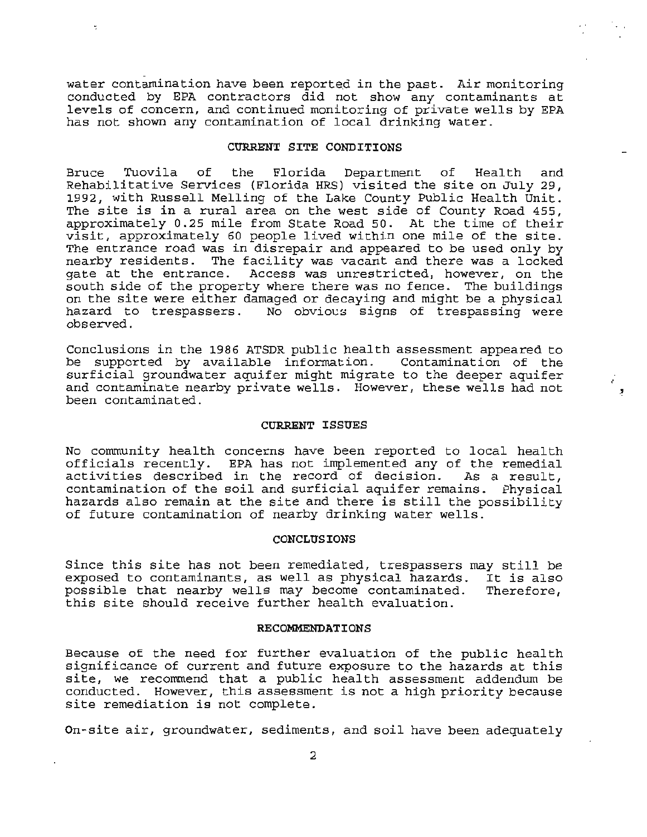water contamination have been reported in the past. Air monitoring conducted by EPA contractors did not show any contaminants at levels of concern, and continued monitoring of private wells by EPA has not shown any contamination of local drinking water.

 $\bullet$  . The contract of the contract of the contract of the contract of the contract of the contract of the contract of the contract of the contract of the contract of the contract of the contract of the contract of the co

#### CURRENT SITE CONDITIONS

Bruce Tuovila of the Florida Department of Health and Rehabilitative Services {Florida HRS) visited the site on July 29, 1992, with Russell Melling of the Lake County Public Health Unit. The site is in a rural area on the west side of County Road 455, approximately 0 . 25 mile from State Road 50. At the time of their visit, approximately 60 people lived within one mile of the site. The entrance road was in disrepair and appeared to be used only by nearby residents. The facility was vacant and there was a locked gate at the entrance. Access was unrestricted, however, on the south side of the property where there was no fence. The buildings on the site were either damaged or decaying and might be a physical hazard to trespassers. No obvious signs of trespassing were observed.

Conclusions in the 1986 ATSDR public health assessment appeared to be supported by available information. Contamination of the surficial groundwater aquifer might migrate to the deeper aquifer and contaminate nearby private wells. However, these wells had not been contaminated.

#### CURRENT ISSUES

No community health concerns have been reported to local health officials recently . EPA has not implemented any of the remedial activities described in the record of decision. As a result, contamination of the soil and surficial aquifer remains. Physical hazards also remain at the site and there is still the possibility of future contamination of nearby drinking water wells.

#### **CONCLUSIONS**

Since this site has not been remediated, trespassers may still be exposed to contaminants, as well as physical hazards. It is also<br>possible that nearby wells may become contaminated. Therefore, possible that nearby wells may become contaminated. this site should receive further health evaluation.

#### RECOMMENDATIONS

Because of the need for further evaluation of the public health significance of current and future exposure to the hazards at this site, we recommend that a public health assessment addendum be conducted. However, this assessment is not a high priority because site remediation is not complete.

 $On$ -site air, groundwater, sediments, and soil have been adequately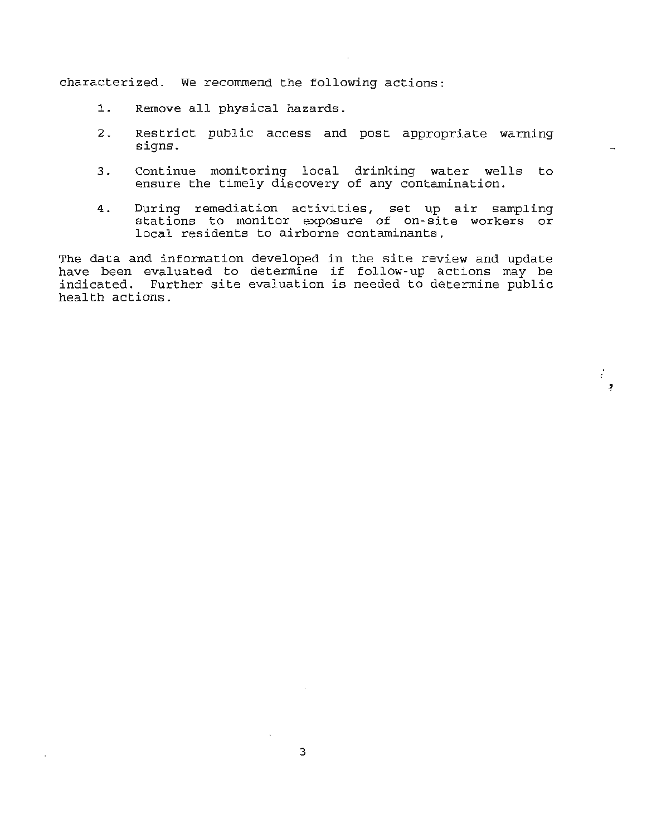characterized. We recommend the following actions:

- 1. Remove all physical hazards.
- 2. Restrict public access and post appropriate warning signs.
- 3. Continue monitoring local drinking water wells to ensure the timely discovery of any contamination.
- 4. During remediation activities, set up air sampling stations to monitor exposure of on-site workers or local residents to airborne contaminants.

ċ. .?

The data and information developed in the site review and update have been evaluated to determine if follow-up actions may be indicated. Further site evaluation is needed to determine public health actions.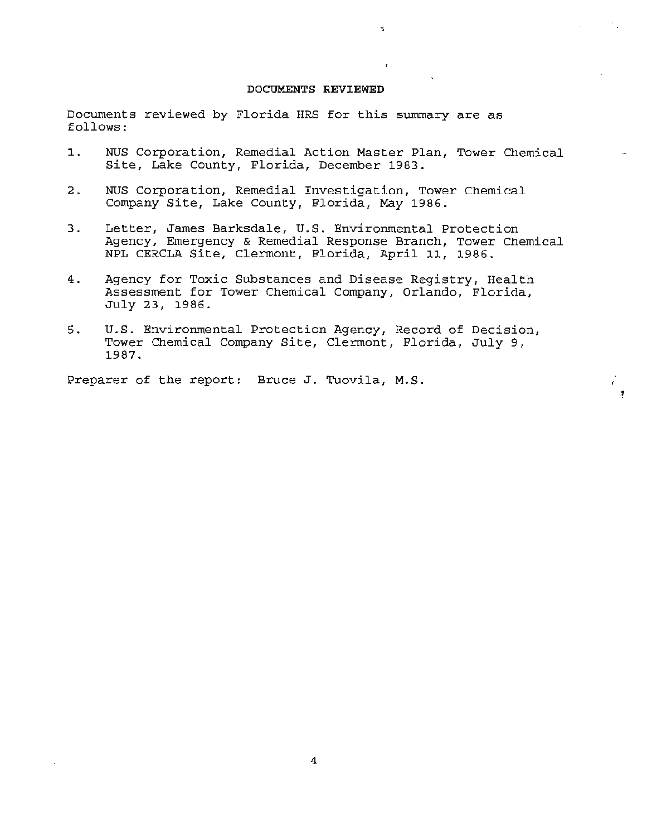#### **DOCUMENTS REVIEWED**

Ä,

Documents reviewed by Florida HRS for this summary are as follows:

- **1.** NUS Corporation, Remedial Action Master Plan, Tower Chemical Site, Lake County, Florida, December 1983.
- 2. NUS Corporation, Remedial Investigation, Tower Chemical Company Site, Lake County, Florida, May 1986.
- 3. Letter, James Barksdale, U.S. Environmental Protection Agency, Emergency & Remedial Response Branch, Tower Chemical NPL CERCLA Site, Clermont, Florida, April 11, 1986.
- 4. Agency for Toxic Substances and Disease Registry, Health Assessment for Tower Chemical Company, Orlando, Florida, July 23, 1986 .
- 5. U.S. Environmental Protection Agency, Record of Decision, Tower Chemical Company Site, Clermont, Florida, July 9, 1987.

Preparer of the report: Bruce J. Tuovila, M.S.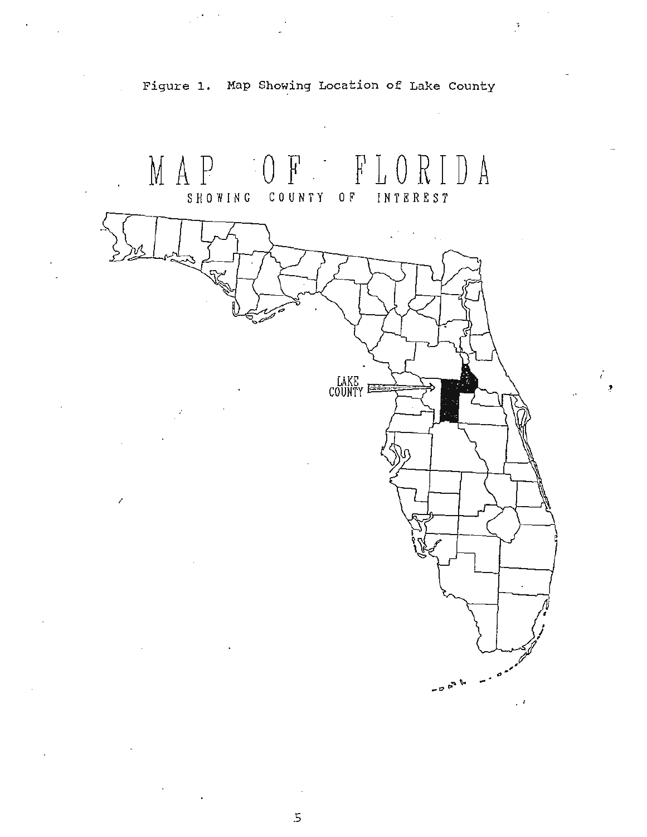

.t

Figure 1. Map Showing Location of Lake County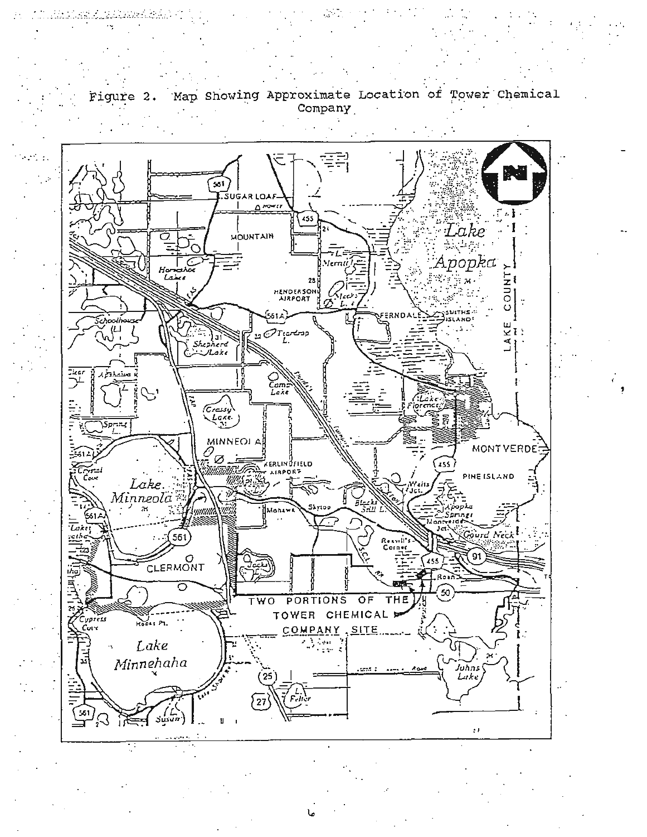

Map Showing Approximate Location of Tower Chemical Figure 2. Company

<u>m haras keluas as</u>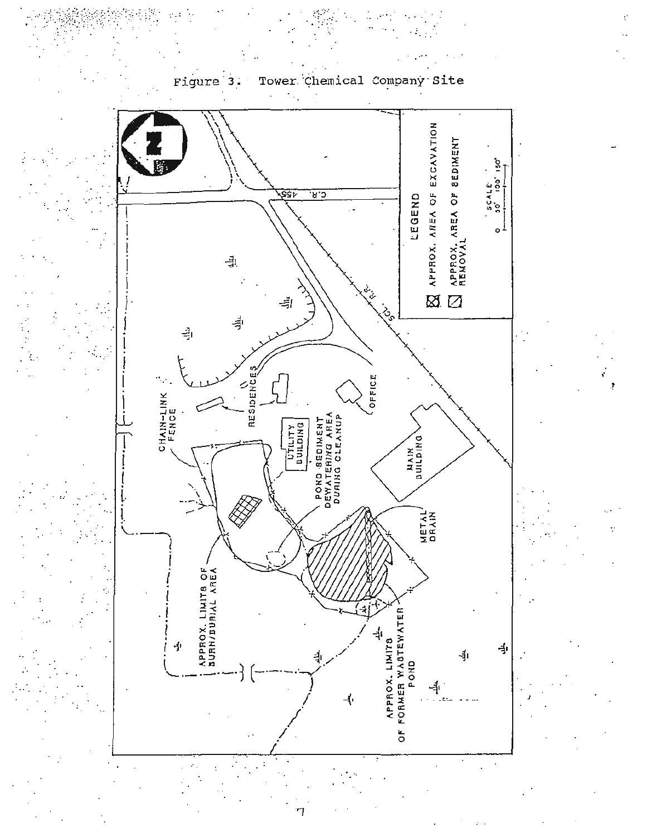

#### Figure Tower Chemical Company з. site